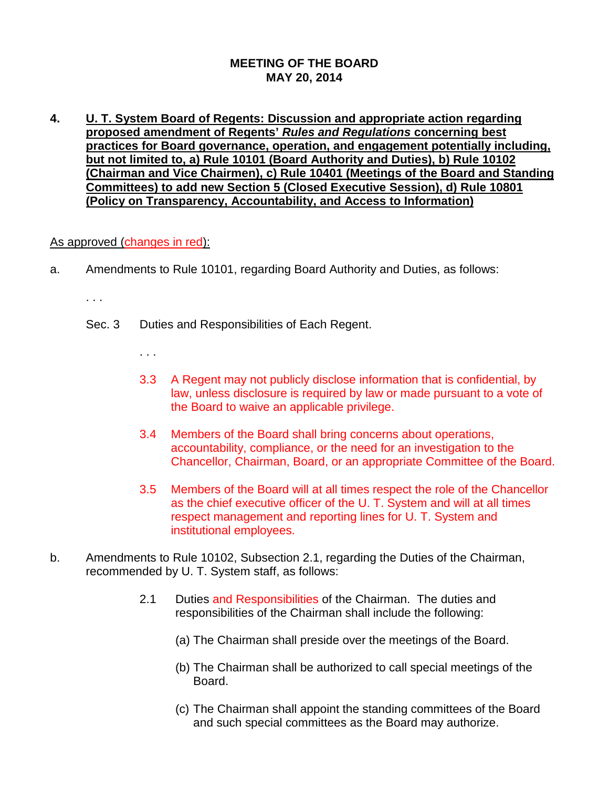## **MEETING OF THE BOARD MAY 20, 2014**

**4. U. T. System Board of Regents: Discussion and appropriate action regarding proposed amendment of Regents'** *Rules and Regulations* **concerning best practices for Board governance, operation, and engagement potentially including, but not limited to, a) Rule 10101 (Board Authority and Duties), b) Rule 10102 (Chairman and Vice Chairmen), c) Rule 10401 (Meetings of the Board and Standing Committees) to add new Section 5 (Closed Executive Session), d) Rule 10801 (Policy on Transparency, Accountability, and Access to Information)**

## As approved (changes in red):

- a. Amendments to Rule 10101, regarding Board Authority and Duties, as follows:
	- . . .
	- Sec. 3 Duties and Responsibilities of Each Regent.
		- . . .
		- 3.3 A Regent may not publicly disclose information that is confidential, by law, unless disclosure is required by law or made pursuant to a vote of the Board to waive an applicable privilege.
		- 3.4 Members of the Board shall bring concerns about operations, accountability, compliance, or the need for an investigation to the Chancellor, Chairman, Board, or an appropriate Committee of the Board.
		- 3.5 Members of the Board will at all times respect the role of the Chancellor as the chief executive officer of the U. T. System and will at all times respect management and reporting lines for U. T. System and institutional employees.
- b. Amendments to Rule 10102, Subsection 2.1, regarding the Duties of the Chairman, recommended by U. T. System staff, as follows:
	- 2.1 Duties and Responsibilities of the Chairman. The duties and responsibilities of the Chairman shall include the following:
		- (a) The Chairman shall preside over the meetings of the Board.
		- (b) The Chairman shall be authorized to call special meetings of the Board.
		- (c) The Chairman shall appoint the standing committees of the Board and such special committees as the Board may authorize.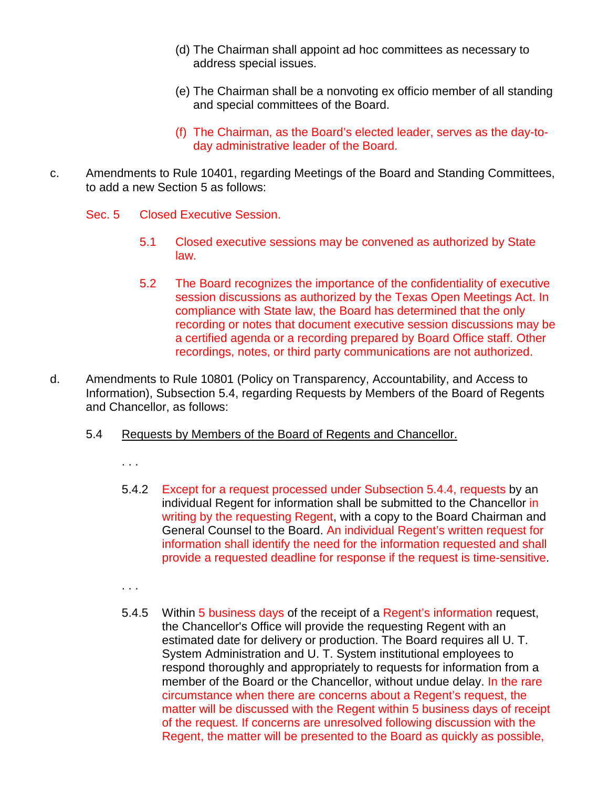- (d) The Chairman shall appoint ad hoc committees as necessary to address special issues.
- (e) The Chairman shall be a nonvoting ex officio member of all standing and special committees of the Board.
- (f) The Chairman, as the Board's elected leader, serves as the day-today administrative leader of the Board.
- c. Amendments to Rule 10401, regarding Meetings of the Board and Standing Committees, to add a new Section 5 as follows:
	- Sec. 5 Closed Executive Session.
		- 5.1 Closed executive sessions may be convened as authorized by State law.
		- 5.2 The Board recognizes the importance of the confidentiality of executive session discussions as authorized by the Texas Open Meetings Act. In compliance with State law, the Board has determined that the only recording or notes that document executive session discussions may be a certified agenda or a recording prepared by Board Office staff. Other recordings, notes, or third party communications are not authorized.
- d. Amendments to Rule 10801 (Policy on Transparency, Accountability, and Access to Information), Subsection 5.4, regarding Requests by Members of the Board of Regents and Chancellor, as follows:
	- 5.4 Requests by Members of the Board of Regents and Chancellor.
		- . . .
		- 5.4.2 Except for a request processed under Subsection 5.4.4, requests by an individual Regent for information shall be submitted to the Chancellor in writing by the requesting Regent, with a copy to the Board Chairman and General Counsel to the Board. An individual Regent's written request for information shall identify the need for the information requested and shall provide a requested deadline for response if the request is time-sensitive.
		- . . .
		- 5.4.5 Within 5 business days of the receipt of a Regent's information request, the Chancellor's Office will provide the requesting Regent with an estimated date for delivery or production. The Board requires all U. T. System Administration and U. T. System institutional employees to respond thoroughly and appropriately to requests for information from a member of the Board or the Chancellor, without undue delay. In the rare circumstance when there are concerns about a Regent's request, the matter will be discussed with the Regent within 5 business days of receipt of the request. If concerns are unresolved following discussion with the Regent, the matter will be presented to the Board as quickly as possible,